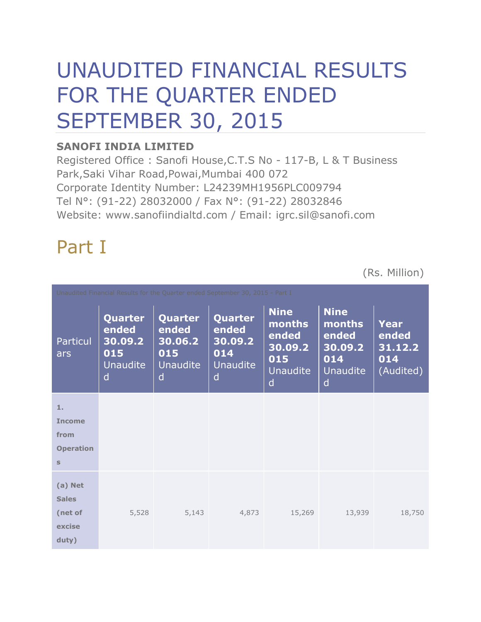# UNAUDITED FINANCIAL RESULTS FOR THE QUARTER ENDED SEPTEMBER 30, 2015

### **SANOFI INDIA LIMITED**

Registered Office : Sanofi House,C.T.S No - 117-B, L & T Business Park,Saki Vihar Road,Powai,Mumbai 400 072 Corporate Identity Number: L24239MH1956PLC009794 Tel N°: (91-22) 28032000 / Fax N°: (91-22) 28032846 Website: www.sanofiindialtd.com / Email: igrc.sil@sanofi.com

## Part I

(Rs. Million)

| Unaudited Financial Results for the Quarter ended September 30, 2015 - Part I |                                                                   |                                                                       |                                                                          |                                                                   |                                                     |
|-------------------------------------------------------------------------------|-------------------------------------------------------------------|-----------------------------------------------------------------------|--------------------------------------------------------------------------|-------------------------------------------------------------------|-----------------------------------------------------|
| Quarter<br>ended<br>30.09.2<br>015<br><b>Unaudite</b><br>d                    | <b>Quarter</b><br>ended<br>30.06.2<br>015<br><b>Unaudite</b><br>d | Quarter<br>ended<br>30.09.2<br>014<br><b>Unaudite</b><br>$\mathsf{d}$ | <b>Nine</b><br>months<br>ended<br>30.09.2<br>015<br><b>Unaudite</b><br>d | <b>Nine</b><br>months<br>ended<br>30.09.2<br>014<br>Unaudite<br>d | <b>Year</b><br>ended<br>31.12.2<br>014<br>(Audited) |
|                                                                               |                                                                   |                                                                       |                                                                          |                                                                   |                                                     |
|                                                                               |                                                                   |                                                                       |                                                                          |                                                                   |                                                     |
|                                                                               |                                                                   |                                                                       |                                                                          |                                                                   |                                                     |
|                                                                               |                                                                   |                                                                       |                                                                          |                                                                   |                                                     |
|                                                                               |                                                                   |                                                                       |                                                                          |                                                                   |                                                     |
|                                                                               |                                                                   |                                                                       |                                                                          |                                                                   |                                                     |
|                                                                               |                                                                   |                                                                       |                                                                          |                                                                   |                                                     |
| 5,528                                                                         | 5,143                                                             | 4,873                                                                 | 15,269                                                                   | 13,939                                                            | 18,750                                              |
|                                                                               |                                                                   |                                                                       |                                                                          |                                                                   |                                                     |
|                                                                               |                                                                   |                                                                       |                                                                          |                                                                   |                                                     |
|                                                                               |                                                                   |                                                                       |                                                                          |                                                                   |                                                     |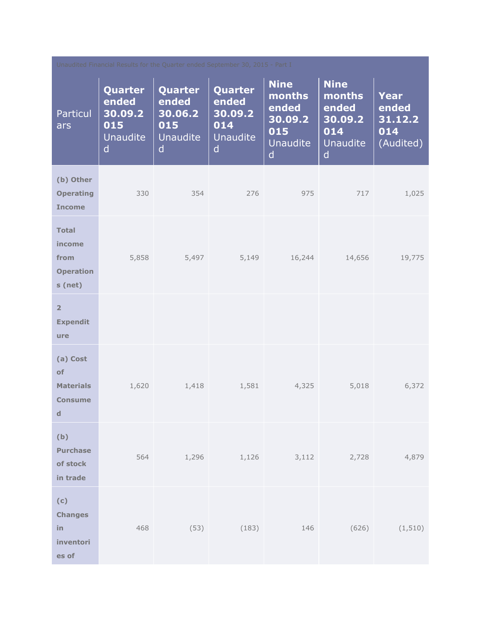| Unaudited Financial Results for the Quarter ended September 30, 2015 - Part I |                                                                |                                                            |                                                                       |                                                                          |                                                                                     |                                              |
|-------------------------------------------------------------------------------|----------------------------------------------------------------|------------------------------------------------------------|-----------------------------------------------------------------------|--------------------------------------------------------------------------|-------------------------------------------------------------------------------------|----------------------------------------------|
| <b>Particul</b><br>ars                                                        | Quarter<br>ended<br>30.09.2<br>015<br>Unaudite<br>$\mathsf{d}$ | Quarter<br>ended<br>30.06.2<br>015<br><b>Unaudite</b><br>d | Quarter<br>ended<br>30.09.2<br>014<br><b>Unaudite</b><br>$\mathsf{d}$ | <b>Nine</b><br>months<br>ended<br>30.09.2<br>015<br><b>Unaudite</b><br>d | <b>Nine</b><br>months<br>ended<br>30.09.2<br>014<br><b>Unaudite</b><br>$\mathsf{d}$ | Year<br>ended<br>31.12.2<br>014<br>(Audited) |
| (b) Other<br><b>Operating</b><br><b>Income</b>                                | 330                                                            | 354                                                        | 276                                                                   | 975                                                                      | 717                                                                                 | 1,025                                        |
| <b>Total</b><br>income<br>from<br><b>Operation</b><br>s (net)                 | 5,858                                                          | 5,497                                                      | 5,149                                                                 | 16,244                                                                   | 14,656                                                                              | 19,775                                       |
| $\overline{2}$<br><b>Expendit</b><br>ure                                      |                                                                |                                                            |                                                                       |                                                                          |                                                                                     |                                              |
| (a) Cost<br>of<br><b>Materials</b><br><b>Consume</b><br>$\mathbf d$           | 1,620                                                          | 1,418                                                      | 1,581                                                                 | 4,325                                                                    | 5,018                                                                               | 6,372                                        |
| (b)<br><b>Purchase</b><br>of stock<br>in trade                                | 564                                                            |                                                            | $1,296$ $1,126$                                                       | 3,112                                                                    | 2,728                                                                               | 4,879                                        |
| (c)<br><b>Changes</b><br>in<br>inventori<br>es of                             | 468                                                            | (53)                                                       | (183)                                                                 | 146                                                                      | (626)                                                                               | (1, 510)                                     |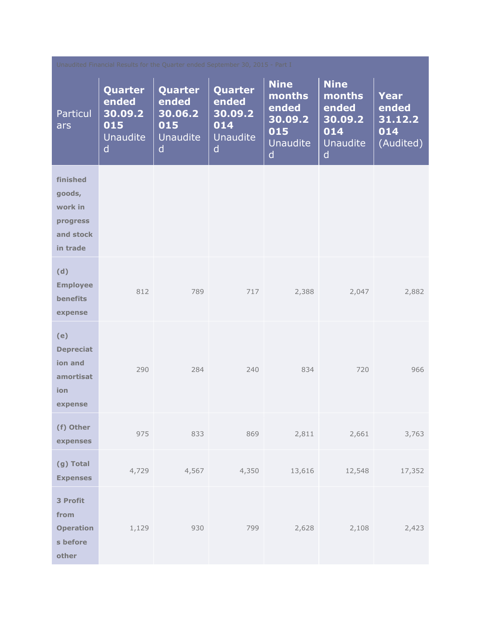| Unaudited Financial Results for the Quarter ended September 30, 2015 - Part I |                                                                       |                                                                       |                                                                |                                                                          |                                                                                     |                                              |  |
|-------------------------------------------------------------------------------|-----------------------------------------------------------------------|-----------------------------------------------------------------------|----------------------------------------------------------------|--------------------------------------------------------------------------|-------------------------------------------------------------------------------------|----------------------------------------------|--|
| <b>Particul</b><br>ars                                                        | Quarter<br>ended<br>30.09.2<br>015<br><b>Unaudite</b><br>$\mathsf{d}$ | Quarter<br>ended<br>30.06.2<br>015<br><b>Unaudite</b><br>$\mathsf{d}$ | Quarter<br>ended<br>30.09.2<br>014<br>Unaudite<br>$\mathsf{d}$ | <b>Nine</b><br>months<br>ended<br>30.09.2<br>015<br><b>Unaudite</b><br>d | <b>Nine</b><br>months<br>ended<br>30.09.2<br>014<br><b>Unaudite</b><br>$\mathsf{d}$ | Year<br>ended<br>31.12.2<br>014<br>(Audited) |  |
| finished<br>goods,<br>work in<br>progress<br>and stock<br>in trade            |                                                                       |                                                                       |                                                                |                                                                          |                                                                                     |                                              |  |
| (d)<br><b>Employee</b><br><b>benefits</b><br>expense                          | 812                                                                   | 789                                                                   | 717                                                            | 2,388                                                                    | 2,047                                                                               | 2,882                                        |  |
| (e)<br><b>Depreciat</b><br>ion and<br>amortisat<br>ion<br>expense             | 290                                                                   | 284                                                                   | 240                                                            | 834                                                                      | 720                                                                                 | 966                                          |  |
| (f) Other<br>expenses                                                         | 975                                                                   | 833                                                                   | 869                                                            | 2,811                                                                    | 2,661                                                                               | 3,763                                        |  |
| (g) Total<br><b>Expenses</b>                                                  | 4,729                                                                 | 4,567                                                                 | 4,350                                                          | 13,616                                                                   | 12,548                                                                              | 17,352                                       |  |
| 3 Profit<br>from<br><b>Operation</b><br>s before<br>other                     | 1,129                                                                 | 930                                                                   | 799                                                            | 2,628                                                                    | 2,108                                                                               | 2,423                                        |  |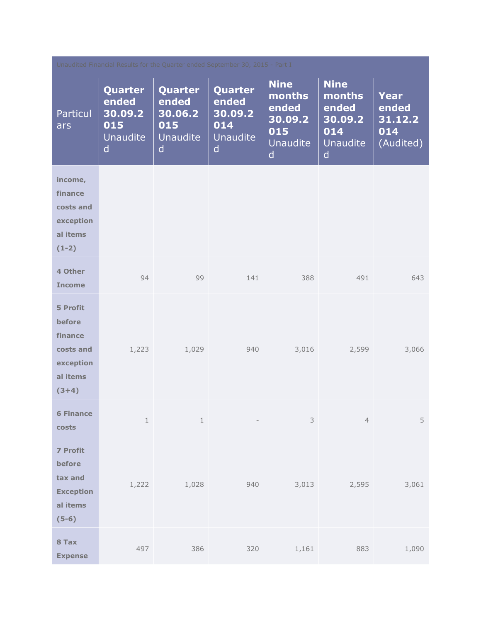| Unaudited Financial Results for the Quarter ended September 30, 2015 - Part I   |                                                                              |                                                            |                                                                       |                                                                          |                                                                                     |                                              |  |
|---------------------------------------------------------------------------------|------------------------------------------------------------------------------|------------------------------------------------------------|-----------------------------------------------------------------------|--------------------------------------------------------------------------|-------------------------------------------------------------------------------------|----------------------------------------------|--|
| Particul<br>ars                                                                 | <b>Quarter</b><br>ended<br>30.09.2<br>015<br><b>Unaudite</b><br>$\mathsf{d}$ | Quarter<br>ended<br>30.06.2<br>015<br><b>Unaudite</b><br>d | Quarter<br>ended<br>30.09.2<br>014<br><b>Unaudite</b><br>$\mathsf{d}$ | <b>Nine</b><br>months<br>ended<br>30.09.2<br>015<br><b>Unaudite</b><br>d | <b>Nine</b><br>months<br>ended<br>30.09.2<br>014<br><b>Unaudite</b><br>$\mathsf{d}$ | Year<br>ended<br>31.12.2<br>014<br>(Audited) |  |
| income,<br>finance<br>costs and<br>exception<br>al items<br>$(1-2)$             |                                                                              |                                                            |                                                                       |                                                                          |                                                                                     |                                              |  |
| 4 Other<br><b>Income</b>                                                        | 94                                                                           | 99                                                         | 141                                                                   | 388                                                                      | 491                                                                                 | 643                                          |  |
| 5 Profit<br>before<br>finance<br>costs and<br>exception<br>al items<br>$(3+4)$  | 1,223                                                                        | 1,029                                                      | 940                                                                   | 3,016                                                                    | 2,599                                                                               | 3,066                                        |  |
| <b>6 Finance</b><br>costs                                                       | $\,1\,$                                                                      | $\mathbf{1}$                                               | $ \,$                                                                 | 3                                                                        | $\overline{4}$                                                                      | 5                                            |  |
| <b>7 Profit</b><br>before<br>tax and<br><b>Exception</b><br>al items<br>$(5-6)$ | 1,222                                                                        | 1,028                                                      | 940                                                                   | 3,013                                                                    | 2,595                                                                               | 3,061                                        |  |
| 8 Tax<br><b>Expense</b>                                                         | 497                                                                          | 386                                                        | 320                                                                   | 1,161                                                                    | 883                                                                                 | 1,090                                        |  |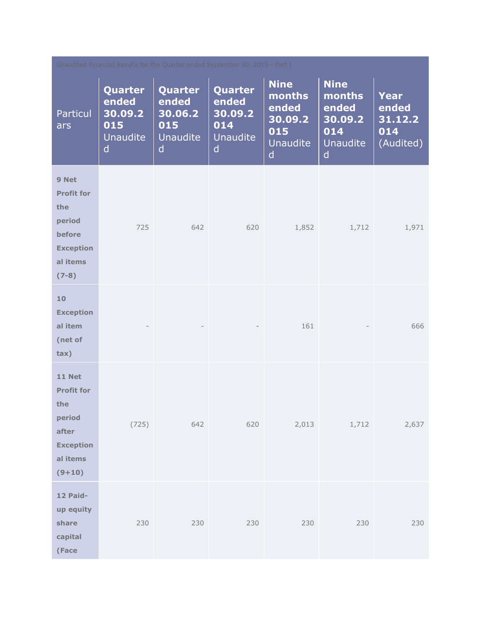| Unaudited Financial Results for the Quarter ended September 30, 2015 - Part I                            |                                                                |                                                            |                                                                       |                                                                          |                                                                          |                                              |
|----------------------------------------------------------------------------------------------------------|----------------------------------------------------------------|------------------------------------------------------------|-----------------------------------------------------------------------|--------------------------------------------------------------------------|--------------------------------------------------------------------------|----------------------------------------------|
| <b>Particul</b><br>ars                                                                                   | Quarter<br>ended<br>30.09.2<br>015<br>Unaudite<br>$\mathsf{d}$ | Quarter<br>ended<br>30.06.2<br>015<br><b>Unaudite</b><br>d | Quarter<br>ended<br>30.09.2<br>014<br><b>Unaudite</b><br>$\mathsf{d}$ | <b>Nine</b><br>months<br>ended<br>30.09.2<br>015<br><b>Unaudite</b><br>d | <b>Nine</b><br>months<br>ended<br>30.09.2<br>014<br><b>Unaudite</b><br>d | Year<br>ended<br>31.12.2<br>014<br>(Audited) |
| 9 Net<br><b>Profit for</b><br>the<br>period<br>before<br><b>Exception</b><br>al items<br>$(7-8)$         | 725                                                            | 642                                                        | 620                                                                   | 1,852                                                                    | 1,712                                                                    | 1,971                                        |
| 10<br><b>Exception</b><br>al item<br>(net of<br>tax)                                                     |                                                                |                                                            |                                                                       | 161                                                                      |                                                                          | 666                                          |
| <b>11 Net</b><br><b>Profit for</b><br>the<br>period<br>after<br><b>Exception</b><br>al items<br>$(9+10)$ | (725)                                                          | 642                                                        | 620                                                                   | 2,013                                                                    | 1,712                                                                    | 2,637                                        |
| 12 Paid-<br>up equity<br>share<br>capital<br>(Face                                                       | 230                                                            | 230                                                        | 230                                                                   | 230                                                                      | 230                                                                      | 230                                          |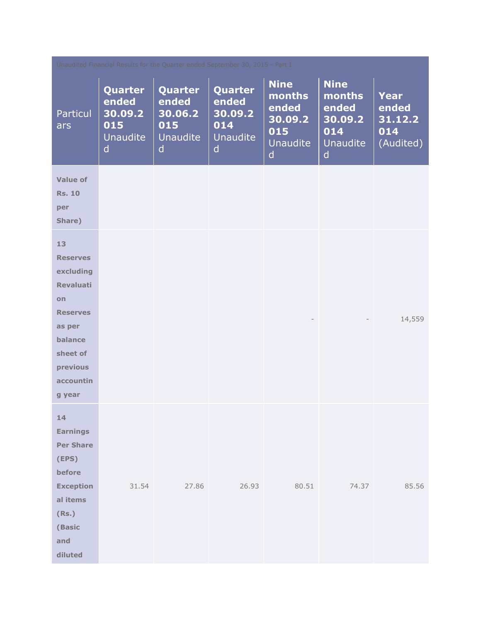| Unaudited Financial Results for the Quarter ended September 30, 2015 - Part I                                                                              |                                                                |                                                     |                                                     |                                                                          |                                                                   |                                                     |
|------------------------------------------------------------------------------------------------------------------------------------------------------------|----------------------------------------------------------------|-----------------------------------------------------|-----------------------------------------------------|--------------------------------------------------------------------------|-------------------------------------------------------------------|-----------------------------------------------------|
| <b>Particul</b><br>ars                                                                                                                                     | Quarter<br>ended<br>30.09.2<br>015<br>Unaudite<br>$\mathsf{d}$ | Quarter<br>ended<br>30.06.2<br>015<br>Unaudite<br>d | Quarter<br>ended<br>30.09.2<br>014<br>Unaudite<br>d | <b>Nine</b><br>months<br>ended<br>30.09.2<br>015<br><b>Unaudite</b><br>d | <b>Nine</b><br>months<br>ended<br>30.09.2<br>014<br>Unaudite<br>d | <b>Year</b><br>ended<br>31.12.2<br>014<br>(Audited) |
| <b>Value of</b><br><b>Rs. 10</b><br>per<br>Share)                                                                                                          |                                                                |                                                     |                                                     |                                                                          |                                                                   |                                                     |
| 13<br><b>Reserves</b><br>excluding<br><b>Revaluati</b><br>on<br><b>Reserves</b><br>as per<br>balance<br>sheet of<br>previous<br><b>accountin</b><br>g year |                                                                |                                                     |                                                     |                                                                          |                                                                   | 14,559                                              |
| 14<br><b>Earnings</b><br><b>Per Share</b><br>(EPS)<br>before<br><b>Exception</b><br>al items<br>(Rs.)<br>(Basic<br>and<br>diluted                          | 31.54                                                          | 27.86                                               | 26.93                                               | 80.51                                                                    | 74.37                                                             | 85.56                                               |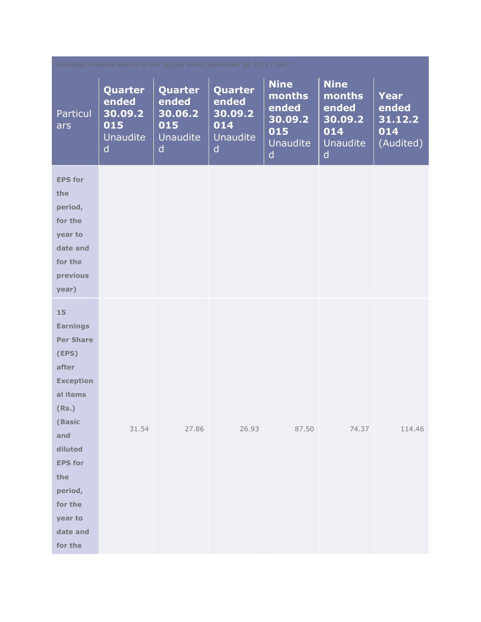| Unaudited Financial Results for the Quarter ended September 30, 2015 - Part I                                                                                                                                     |                                                                |                                                                |                                                                |                                                                          |                                                                                     |                                                     |
|-------------------------------------------------------------------------------------------------------------------------------------------------------------------------------------------------------------------|----------------------------------------------------------------|----------------------------------------------------------------|----------------------------------------------------------------|--------------------------------------------------------------------------|-------------------------------------------------------------------------------------|-----------------------------------------------------|
| <b>Particul</b><br>ars                                                                                                                                                                                            | Quarter<br>ended<br>30.09.2<br>015<br>Unaudite<br>$\mathsf{d}$ | Quarter<br>ended<br>30.06.2<br>015<br>Unaudite<br>$\mathsf{d}$ | Quarter<br>ended<br>30.09.2<br>014<br>Unaudite<br>$\mathsf{d}$ | <b>Nine</b><br>months<br>ended<br>30.09.2<br>015<br><b>Unaudite</b><br>d | <b>Nine</b><br>months<br>ended<br>30.09.2<br>014<br><b>Unaudite</b><br>$\mathsf{d}$ | <b>Year</b><br>ended<br>31.12.2<br>014<br>(Audited) |
| <b>EPS for</b><br>the<br>period,<br>for the<br>year to<br>date and<br>for the<br>previous<br>year)                                                                                                                |                                                                |                                                                |                                                                |                                                                          |                                                                                     |                                                     |
| 15<br><b>Earnings</b><br><b>Per Share</b><br>(EPS)<br>after<br><b>Exception</b><br>al items<br>(Rs.)<br>(Basic<br>and<br>diluted<br><b>EPS for</b><br>the<br>period,<br>for the<br>year to<br>date and<br>for the | 31.54                                                          | 27.86                                                          | 26.93                                                          | 87.50                                                                    | 74.37                                                                               | 114.46                                              |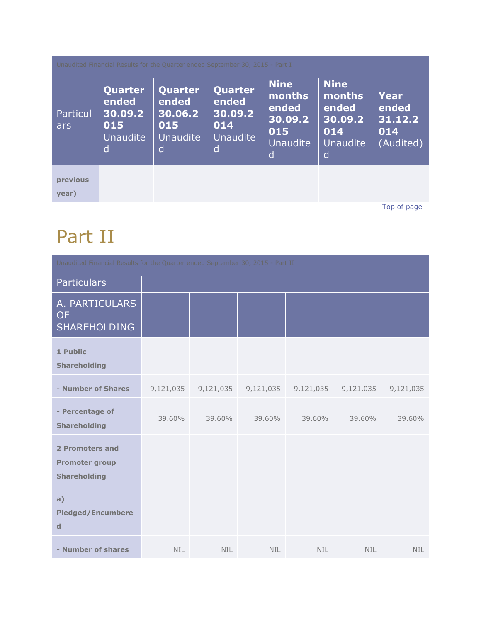| Unaudited Financial Results for the Quarter ended September 30, 2015 - Part I |                                                            |                                                            |                                                            |                                                                          |                                                                          |                                              |
|-------------------------------------------------------------------------------|------------------------------------------------------------|------------------------------------------------------------|------------------------------------------------------------|--------------------------------------------------------------------------|--------------------------------------------------------------------------|----------------------------------------------|
| <b>Particul</b><br>ars                                                        | Quarter<br>ended<br>30.09.2<br>015<br><b>Unaudite</b><br>d | Quarter<br>ended<br>30.06.2<br>015<br><b>Unaudite</b><br>d | Quarter<br>ended<br>30.09.2<br>014<br><b>Unaudite</b><br>d | <b>Nine</b><br>months<br>ended<br>30.09.2<br>015<br><b>Unaudite</b><br>d | <b>Nine</b><br>months<br>ended<br>30.09.2<br>014<br><b>Unaudite</b><br>d | Year<br>ended<br>31.12.2<br>014<br>(Audited) |
| previous<br>year)                                                             |                                                            |                                                            |                                                            |                                                                          |                                                                          |                                              |

[Top of page](http://www.sanofiindialtd.com/l/pw/en/layout.jsp?cnt=17D4AF83-629D-48B2-87CA-F48206DD3A29#area_b)

### Part II

| Unaudited Financial Results for the Quarter ended September 30, 2015 - Part II |            |            |           |            |           |            |
|--------------------------------------------------------------------------------|------------|------------|-----------|------------|-----------|------------|
| <b>Particulars</b>                                                             |            |            |           |            |           |            |
| A. PARTICULARS<br><b>OF</b><br><b>SHAREHOLDING</b>                             |            |            |           |            |           |            |
| 1 Public<br><b>Shareholding</b>                                                |            |            |           |            |           |            |
| - Number of Shares                                                             | 9,121,035  | 9,121,035  | 9,121,035 | 9,121,035  | 9,121,035 | 9,121,035  |
| - Percentage of<br><b>Shareholding</b>                                         | 39.60%     | 39.60%     | 39.60%    | 39.60%     | 39.60%    | 39.60%     |
| 2 Promoters and<br><b>Promoter group</b><br><b>Shareholding</b>                |            |            |           |            |           |            |
| a)<br><b>Pledged/Encumbere</b><br>$\mathbf d$                                  |            |            |           |            |           |            |
| - Number of shares                                                             | <b>NIL</b> | <b>NIL</b> | NIL.      | <b>NIL</b> | NIL.      | <b>NIL</b> |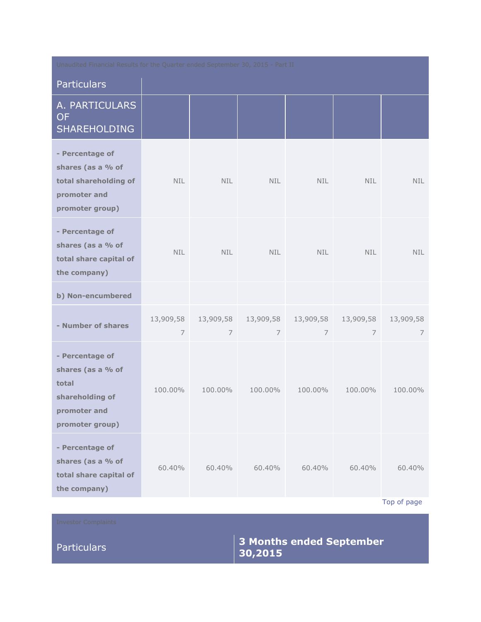| Unaudited Financial Results for the Quarter ended September 30, 2015 - Part II                      |                |                             |                             |                |                           |                       |
|-----------------------------------------------------------------------------------------------------|----------------|-----------------------------|-----------------------------|----------------|---------------------------|-----------------------|
| <b>Particulars</b>                                                                                  |                |                             |                             |                |                           |                       |
| A. PARTICULARS<br><b>OF</b><br><b>SHAREHOLDING</b>                                                  |                |                             |                             |                |                           |                       |
| - Percentage of<br>shares (as a % of<br>total shareholding of<br>promoter and<br>promoter group)    | <b>NIL</b>     | <b>NIL</b>                  | <b>NIL</b>                  | <b>NIL</b>     | <b>NIL</b>                | NIL.                  |
| - Percentage of<br>shares (as a % of<br>total share capital of<br>the company)                      | NIL.           | <b>NIL</b>                  | <b>NIL</b>                  | <b>NIL</b>     | <b>NIL</b>                | <b>NIL</b>            |
| b) Non-encumbered                                                                                   |                |                             |                             |                |                           |                       |
| - Number of shares                                                                                  | 13,909,58<br>7 | 13,909,58<br>$\overline{7}$ | 13,909,58<br>$\overline{7}$ | $\overline{7}$ | 13,909,58  13,909,58<br>7 | 13,909,58<br>7        |
| - Percentage of<br>shares (as a % of<br>total<br>shareholding of<br>promoter and<br>promoter group) | 100.00%        | 100.00%                     | 100.00%                     | 100.00%        | 100,00%                   | 100.00%               |
| - Percentage of<br>shares (as a % of<br>total share capital of<br>the company)                      | 60.40%         | 60.40%                      | 60.40%                      | 60.40%         | 60.40%                    | 60.40%<br>Top of page |

[Top of page](http://www.sanofiindialtd.com/l/pw/en/layout.jsp?cnt=17D4AF83-629D-48B2-87CA-F48206DD3A29#area_b)

### Particulars **3 Months ended September 30,2015**